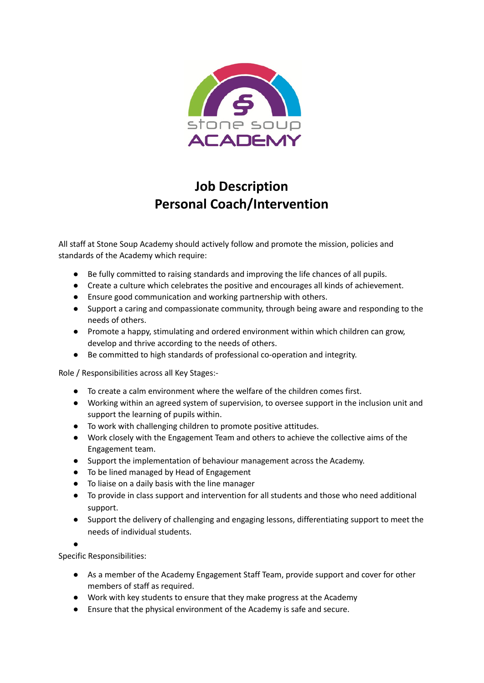

# **Job Description Personal Coach/Intervention**

All staff at Stone Soup Academy should actively follow and promote the mission, policies and standards of the Academy which require:

- Be fully committed to raising standards and improving the life chances of all pupils.
- Create a culture which celebrates the positive and encourages all kinds of achievement.
- Ensure good communication and working partnership with others.
- Support a caring and compassionate community, through being aware and responding to the needs of others.
- Promote a happy, stimulating and ordered environment within which children can grow, develop and thrive according to the needs of others.
- Be committed to high standards of professional co-operation and integrity.

Role / Responsibilities across all Key Stages:-

- To create a calm environment where the welfare of the children comes first.
- Working within an agreed system of supervision, to oversee support in the inclusion unit and support the learning of pupils within.
- To work with challenging children to promote positive attitudes.
- Work closely with the Engagement Team and others to achieve the collective aims of the Engagement team.
- Support the implementation of behaviour management across the Academy.
- To be lined managed by Head of Engagement
- To liaise on a daily basis with the line manager
- To provide in class support and intervention for all students and those who need additional support.
- Support the delivery of challenging and engaging lessons, differentiating support to meet the needs of individual students.

●

Specific Responsibilities:

- As a member of the Academy Engagement Staff Team, provide support and cover for other members of staff as required.
- Work with key students to ensure that they make progress at the Academy
- Ensure that the physical environment of the Academy is safe and secure.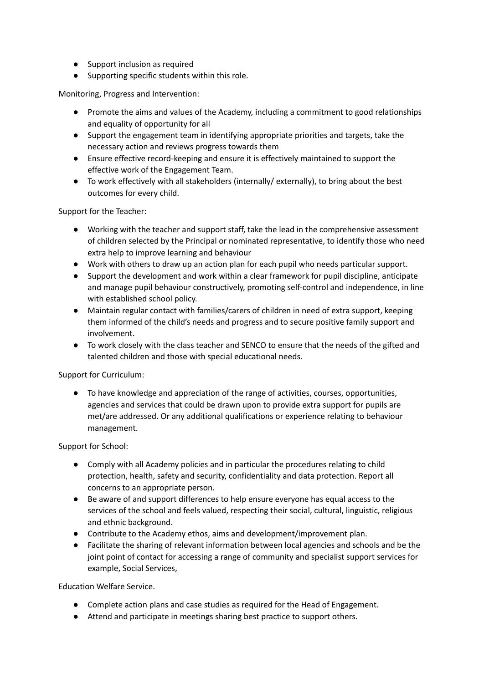- Support inclusion as required
- Supporting specific students within this role.

Monitoring, Progress and Intervention:

- Promote the aims and values of the Academy, including a commitment to good relationships and equality of opportunity for all
- Support the engagement team in identifying appropriate priorities and targets, take the necessary action and reviews progress towards them
- Ensure effective record-keeping and ensure it is effectively maintained to support the effective work of the Engagement Team.
- To work effectively with all stakeholders (internally/ externally), to bring about the best outcomes for every child.

Support for the Teacher:

- Working with the teacher and support staff, take the lead in the comprehensive assessment of children selected by the Principal or nominated representative, to identify those who need extra help to improve learning and behaviour
- Work with others to draw up an action plan for each pupil who needs particular support.
- Support the development and work within a clear framework for pupil discipline, anticipate and manage pupil behaviour constructively, promoting self-control and independence, in line with established school policy.
- Maintain regular contact with families/carers of children in need of extra support, keeping them informed of the child's needs and progress and to secure positive family support and involvement.
- To work closely with the class teacher and SENCO to ensure that the needs of the gifted and talented children and those with special educational needs.

Support for Curriculum:

● To have knowledge and appreciation of the range of activities, courses, opportunities, agencies and services that could be drawn upon to provide extra support for pupils are met/are addressed. Or any additional qualifications or experience relating to behaviour management.

Support for School:

- Comply with all Academy policies and in particular the procedures relating to child protection, health, safety and security, confidentiality and data protection. Report all concerns to an appropriate person.
- Be aware of and support differences to help ensure everyone has equal access to the services of the school and feels valued, respecting their social, cultural, linguistic, religious and ethnic background.
- Contribute to the Academy ethos, aims and development/improvement plan.
- Facilitate the sharing of relevant information between local agencies and schools and be the joint point of contact for accessing a range of community and specialist support services for example, Social Services,

Education Welfare Service.

- Complete action plans and case studies as required for the Head of Engagement.
- Attend and participate in meetings sharing best practice to support others.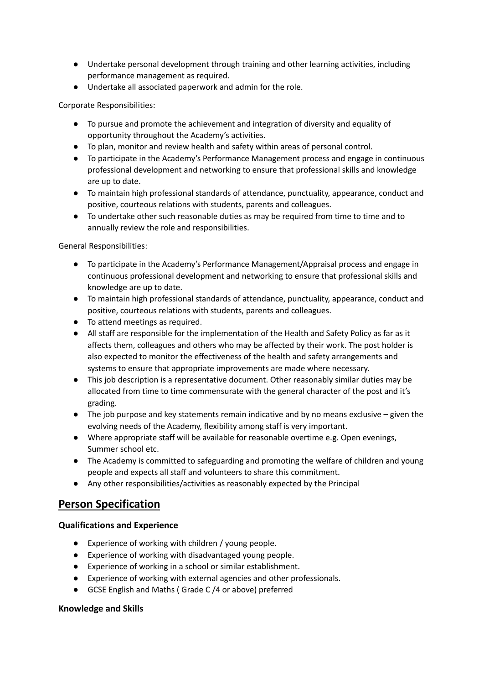- Undertake personal development through training and other learning activities, including performance management as required.
- Undertake all associated paperwork and admin for the role.

Corporate Responsibilities:

- To pursue and promote the achievement and integration of diversity and equality of opportunity throughout the Academy's activities.
- To plan, monitor and review health and safety within areas of personal control.
- To participate in the Academy's Performance Management process and engage in continuous professional development and networking to ensure that professional skills and knowledge are up to date.
- To maintain high professional standards of attendance, punctuality, appearance, conduct and positive, courteous relations with students, parents and colleagues.
- To undertake other such reasonable duties as may be required from time to time and to annually review the role and responsibilities.

General Responsibilities:

- To participate in the Academy's Performance Management/Appraisal process and engage in continuous professional development and networking to ensure that professional skills and knowledge are up to date.
- To maintain high professional standards of attendance, punctuality, appearance, conduct and positive, courteous relations with students, parents and colleagues.
- To attend meetings as required.
- All staff are responsible for the implementation of the Health and Safety Policy as far as it affects them, colleagues and others who may be affected by their work. The post holder is also expected to monitor the effectiveness of the health and safety arrangements and systems to ensure that appropriate improvements are made where necessary.
- This job description is a representative document. Other reasonably similar duties may be allocated from time to time commensurate with the general character of the post and it's grading.
- $\bullet$  The job purpose and key statements remain indicative and by no means exclusive given the evolving needs of the Academy, flexibility among staff is very important.
- Where appropriate staff will be available for reasonable overtime e.g. Open evenings, Summer school etc.
- The Academy is committed to safeguarding and promoting the welfare of children and young people and expects all staff and volunteers to share this commitment.
- Any other responsibilities/activities as reasonably expected by the Principal

## **Person Specification**

#### **Qualifications and Experience**

- Experience of working with children / young people.
- Experience of working with disadvantaged young people.
- Experience of working in a school or similar establishment.
- Experience of working with external agencies and other professionals.
- GCSE English and Maths ( Grade C /4 or above) preferred

#### **Knowledge and Skills**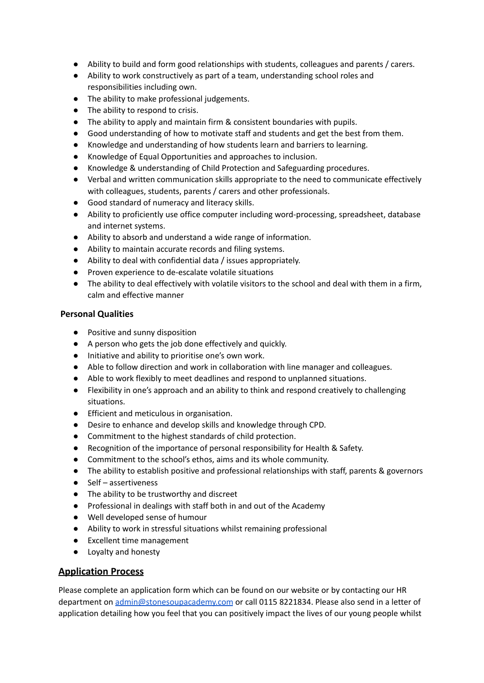- Ability to build and form good relationships with students, colleagues and parents / carers.
- Ability to work constructively as part of a team, understanding school roles and responsibilities including own.
- The ability to make professional judgements.
- The ability to respond to crisis.
- The ability to apply and maintain firm & consistent boundaries with pupils.
- Good understanding of how to motivate staff and students and get the best from them.
- Knowledge and understanding of how students learn and barriers to learning.
- Knowledge of Equal Opportunities and approaches to inclusion.
- Knowledge & understanding of Child Protection and Safeguarding procedures.
- Verbal and written communication skills appropriate to the need to communicate effectively with colleagues, students, parents / carers and other professionals.
- Good standard of numeracy and literacy skills.
- Ability to proficiently use office computer including word-processing, spreadsheet, database and internet systems.
- Ability to absorb and understand a wide range of information.
- Ability to maintain accurate records and filing systems.
- Ability to deal with confidential data / issues appropriately.
- Proven experience to de-escalate volatile situations
- The ability to deal effectively with volatile visitors to the school and deal with them in a firm, calm and effective manner

#### **Personal Qualities**

- Positive and sunny disposition
- A person who gets the job done effectively and quickly.
- Initiative and ability to prioritise one's own work.
- Able to follow direction and work in collaboration with line manager and colleagues.
- Able to work flexibly to meet deadlines and respond to unplanned situations.
- Flexibility in one's approach and an ability to think and respond creatively to challenging situations.
- Efficient and meticulous in organisation.
- Desire to enhance and develop skills and knowledge through CPD.
- Commitment to the highest standards of child protection.
- Recognition of the importance of personal responsibility for Health & Safety.
- Commitment to the school's ethos, aims and its whole community.
- The ability to establish positive and professional relationships with staff, parents & governors
- Self assertiveness
- The ability to be trustworthy and discreet
- Professional in dealings with staff both in and out of the Academy
- Well developed sense of humour
- Ability to work in stressful situations whilst remaining professional
- Excellent time management
- Loyalty and honesty

### **Application Process**

Please complete an application form which can be found on our website or by contacting our HR department on [admin@stonesoupacademy.com](mailto:admin@stonesoupacademy.com) or call 0115 8221834. Please also send in a letter of application detailing how you feel that you can positively impact the lives of our young people whilst